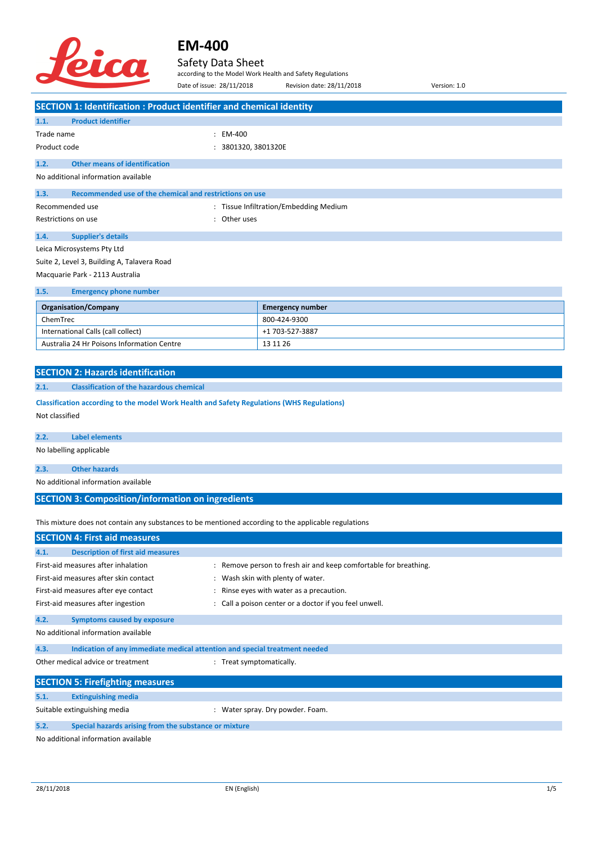

### Safety Data Sheet

according to the Model Work Health and Safety Regulations

| Date of issue: 28/11/2018                                                                            | according to the Model Work Health and Safety Regulations<br>Revision date: 28/11/2018<br>Version: 1.0 |
|------------------------------------------------------------------------------------------------------|--------------------------------------------------------------------------------------------------------|
|                                                                                                      |                                                                                                        |
| <b>SECTION 1: Identification : Product identifier and chemical identity</b>                          |                                                                                                        |
| <b>Product identifier</b><br>1.1.                                                                    |                                                                                                        |
| Trade name<br>$: EM-400$                                                                             |                                                                                                        |
| Product code<br>: 3801320, 3801320E                                                                  |                                                                                                        |
| 1.2.<br><b>Other means of identification</b>                                                         |                                                                                                        |
| No additional information available                                                                  |                                                                                                        |
| Recommended use of the chemical and restrictions on use<br>1.3.                                      |                                                                                                        |
| Recommended use                                                                                      | : Tissue Infiltration/Embedding Medium                                                                 |
| Restrictions on use<br>: Other uses                                                                  |                                                                                                        |
| 1.4.<br><b>Supplier's details</b>                                                                    |                                                                                                        |
| Leica Microsystems Pty Ltd                                                                           |                                                                                                        |
| Suite 2, Level 3, Building A, Talavera Road                                                          |                                                                                                        |
| Macquarie Park - 2113 Australia                                                                      |                                                                                                        |
|                                                                                                      |                                                                                                        |
| 1.5.<br><b>Emergency phone number</b>                                                                |                                                                                                        |
| <b>Organisation/Company</b>                                                                          | <b>Emergency number</b>                                                                                |
| ChemTrec                                                                                             | 800-424-9300                                                                                           |
| International Calls (call collect)<br>Australia 24 Hr Poisons Information Centre                     | +1 703-527-3887<br>13 11 26                                                                            |
|                                                                                                      |                                                                                                        |
|                                                                                                      |                                                                                                        |
| <b>SECTION 2: Hazards identification</b>                                                             |                                                                                                        |
| 2.1.<br><b>Classification of the hazardous chemical</b>                                              |                                                                                                        |
| Classification according to the model Work Health and Safety Regulations (WHS Regulations)           |                                                                                                        |
| Not classified                                                                                       |                                                                                                        |
| 2.2.<br><b>Label elements</b>                                                                        |                                                                                                        |
| No labelling applicable                                                                              |                                                                                                        |
|                                                                                                      |                                                                                                        |
| <b>Other hazards</b><br>2.3.                                                                         |                                                                                                        |
| No additional information available                                                                  |                                                                                                        |
| <b>SECTION 3: Composition/information on ingredients</b>                                             |                                                                                                        |
|                                                                                                      |                                                                                                        |
| This mixture does not contain any substances to be mentioned according to the applicable regulations |                                                                                                        |
| <b>SECTION 4: First aid measures</b>                                                                 |                                                                                                        |
| <b>Description of first aid measures</b><br>4.1.                                                     |                                                                                                        |
| First-aid measures after inhalation                                                                  | : Remove person to fresh air and keep comfortable for breathing.                                       |
| First-aid measures after skin contact                                                                | : Wash skin with plenty of water.                                                                      |
| First-aid measures after eye contact                                                                 | : Rinse eyes with water as a precaution.                                                               |
| First-aid measures after ingestion                                                                   | : Call a poison center or a doctor if you feel unwell.                                                 |
| 4.2.<br><b>Symptoms caused by exposure</b>                                                           |                                                                                                        |
| No additional information available                                                                  |                                                                                                        |
| Indication of any immediate medical attention and special treatment needed<br>4.3.                   |                                                                                                        |
| Other medical advice or treatment<br>: Treat symptomatically.                                        |                                                                                                        |
|                                                                                                      |                                                                                                        |
| <b>SECTION 5: Firefighting measures</b>                                                              |                                                                                                        |
| <b>Extinguishing media</b><br>5.1.                                                                   |                                                                                                        |
| Suitable extinguishing media                                                                         | : Water spray. Dry powder. Foam.                                                                       |
| 5.2.<br>Special hazards arising from the substance or mixture                                        |                                                                                                        |
| No additional information available                                                                  |                                                                                                        |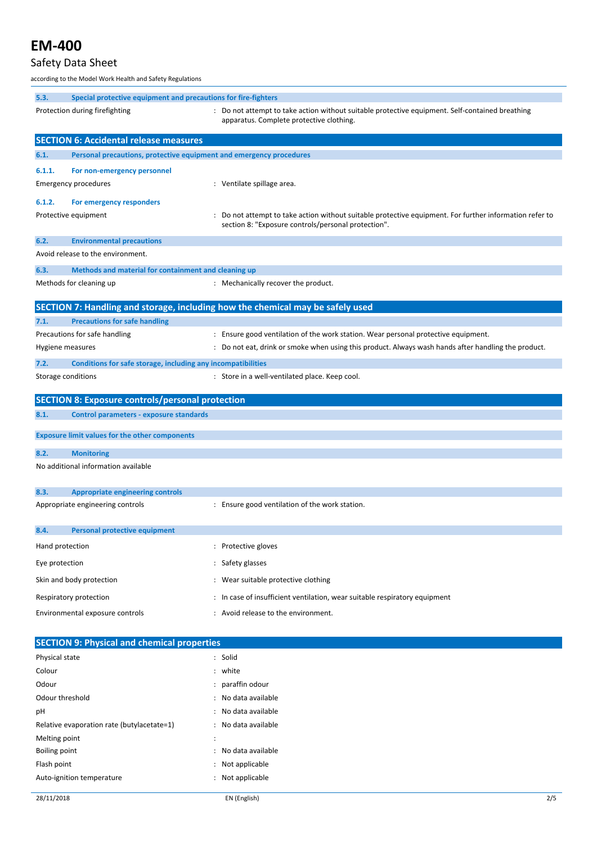### Safety Data Sheet

according to the Model Work Health and Safety Regulations

| 5.3.               | Special protective equipment and precautions for fire-fighters      |                                                                                                                                             |
|--------------------|---------------------------------------------------------------------|---------------------------------------------------------------------------------------------------------------------------------------------|
|                    | Protection during firefighting                                      | : Do not attempt to take action without suitable protective equipment. Self-contained breathing<br>apparatus. Complete protective clothing. |
|                    | <b>SECTION 6: Accidental release measures</b>                       |                                                                                                                                             |
| 6.1.               | Personal precautions, protective equipment and emergency procedures |                                                                                                                                             |
| 6.1.1.             | For non-emergency personnel                                         |                                                                                                                                             |
|                    | <b>Emergency procedures</b>                                         | : Ventilate spillage area.                                                                                                                  |
|                    |                                                                     |                                                                                                                                             |
| 6.1.2.             | For emergency responders<br>Protective equipment                    | : Do not attempt to take action without suitable protective equipment. For further information refer to                                     |
|                    |                                                                     | section 8: "Exposure controls/personal protection".                                                                                         |
| 6.2.               | <b>Environmental precautions</b>                                    |                                                                                                                                             |
|                    | Avoid release to the environment.                                   |                                                                                                                                             |
| 6.3.               | Methods and material for containment and cleaning up                |                                                                                                                                             |
|                    | Methods for cleaning up                                             | : Mechanically recover the product.                                                                                                         |
|                    |                                                                     |                                                                                                                                             |
|                    |                                                                     | SECTION 7: Handling and storage, including how the chemical may be safely used                                                              |
| 7.1.               | <b>Precautions for safe handling</b>                                |                                                                                                                                             |
|                    | Precautions for safe handling                                       | : Ensure good ventilation of the work station. Wear personal protective equipment.                                                          |
| Hygiene measures   |                                                                     | : Do not eat, drink or smoke when using this product. Always wash hands after handling the product.                                         |
| 7.2.               | Conditions for safe storage, including any incompatibilities        |                                                                                                                                             |
| Storage conditions |                                                                     | : Store in a well-ventilated place. Keep cool.                                                                                              |
|                    | <b>SECTION 8: Exposure controls/personal protection</b>             |                                                                                                                                             |
| 8.1.               | Control parameters - exposure standards                             |                                                                                                                                             |
|                    |                                                                     |                                                                                                                                             |
|                    | <b>Exposure limit values for the other components</b>               |                                                                                                                                             |
| 8.2.               | <b>Monitoring</b>                                                   |                                                                                                                                             |
|                    | No additional information available                                 |                                                                                                                                             |
| 8.3.               | <b>Appropriate engineering controls</b>                             |                                                                                                                                             |
|                    | Appropriate engineering controls                                    | : Ensure good ventilation of the work station.                                                                                              |
|                    |                                                                     |                                                                                                                                             |
| 8.4.               | <b>Personal protective equipment</b>                                |                                                                                                                                             |
| Hand protection    |                                                                     | : Protective gloves                                                                                                                         |
| Eye protection     |                                                                     | : Safety glasses                                                                                                                            |
|                    | Skin and body protection                                            | : Wear suitable protective clothing                                                                                                         |
|                    | Respiratory protection                                              | : In case of insufficient ventilation, wear suitable respiratory equipment                                                                  |
|                    | Environmental exposure controls                                     | : Avoid release to the environment.                                                                                                         |
|                    |                                                                     |                                                                                                                                             |
|                    | <b>SECTION 9: Physical and chemical properties</b>                  |                                                                                                                                             |
| Physical state     |                                                                     | : Solid                                                                                                                                     |
| Colour             |                                                                     | : white                                                                                                                                     |
| Odour              |                                                                     | paraffin odour                                                                                                                              |
| Odour threshold    |                                                                     | No data available                                                                                                                           |
| рH                 |                                                                     | No data available                                                                                                                           |
|                    | Relative evaporation rate (butylacetate=1)                          | : No data available                                                                                                                         |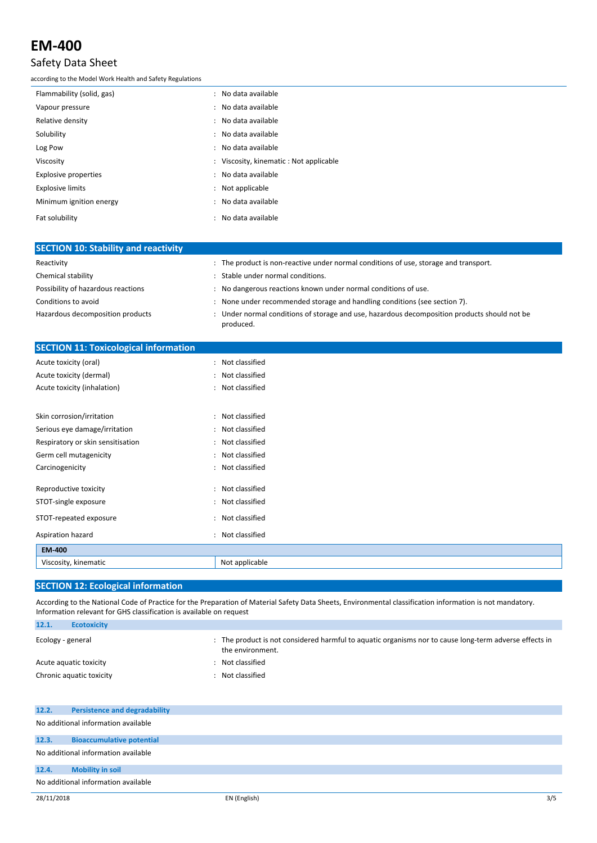#### Safety Data Sheet

according to the Model Work Health and Safety Regulations

| Flammability (solid, gas) | : No data available                     |
|---------------------------|-----------------------------------------|
| Vapour pressure           | : No data available                     |
| Relative density          | : No data available                     |
| Solubility                | : No data available                     |
| Log Pow                   | : No data available                     |
| Viscosity                 | : Viscosity, kinematic : Not applicable |
| Explosive properties      | : No data available                     |
| <b>Explosive limits</b>   | : Not applicable                        |
| Minimum ignition energy   | : No data available                     |
| Fat solubility            | : No data available                     |

| <b>SECTION 10: Stability and reactivity</b> |                                                                                                         |
|---------------------------------------------|---------------------------------------------------------------------------------------------------------|
| Reactivity                                  | : The product is non-reactive under normal conditions of use, storage and transport.                    |
| Chemical stability                          | Stable under normal conditions.                                                                         |
| Possibility of hazardous reactions          | No dangerous reactions known under normal conditions of use.                                            |
| Conditions to avoid                         | None under recommended storage and handling conditions (see section 7).                                 |
| Hazardous decomposition products            | Under normal conditions of storage and use, hazardous decomposition products should not be<br>produced. |

| <b>SECTION 11: Toxicological information</b> |                  |
|----------------------------------------------|------------------|
| Acute toxicity (oral)                        | : Not classified |
| Acute toxicity (dermal)                      | : Not classified |
| Acute toxicity (inhalation)                  | : Not classified |
|                                              |                  |
| Skin corrosion/irritation                    | : Not classified |
| Serious eye damage/irritation                | : Not classified |
| Respiratory or skin sensitisation            | : Not classified |
| Germ cell mutagenicity                       | : Not classified |
| Carcinogenicity                              | : Not classified |
| Reproductive toxicity                        | : Not classified |
| STOT-single exposure                         | : Not classified |
| STOT-repeated exposure                       | : Not classified |
| Aspiration hazard                            | : Not classified |
| EM-400                                       |                  |
| Viscosity, kinematic                         | Not applicable   |

#### **SECTION 12: Ecological information**

According to the National Code of Practice for the Preparation of Material Safety Data Sheets, Environmental classification information is not mandatory. Information relevant for GHS classification is available on request

| 12.1.             | <b>Ecotoxicity</b>       |                                                                                                                          |
|-------------------|--------------------------|--------------------------------------------------------------------------------------------------------------------------|
| Ecology - general |                          | The product is not considered harmful to aguatic organisms nor to cause long-term adverse effects in<br>the environment. |
|                   | Acute aguatic toxicity   | Not classified                                                                                                           |
|                   | Chronic aquatic toxicity | Not classified                                                                                                           |

| 12.2. | <b>Persistence and degradability</b> |
|-------|--------------------------------------|
|       | No additional information available  |
| 12.3. | <b>Bioaccumulative potential</b>     |
|       | No additional information available  |
| 12.4. | <b>Mobility in soil</b>              |
|       | No additional information available  |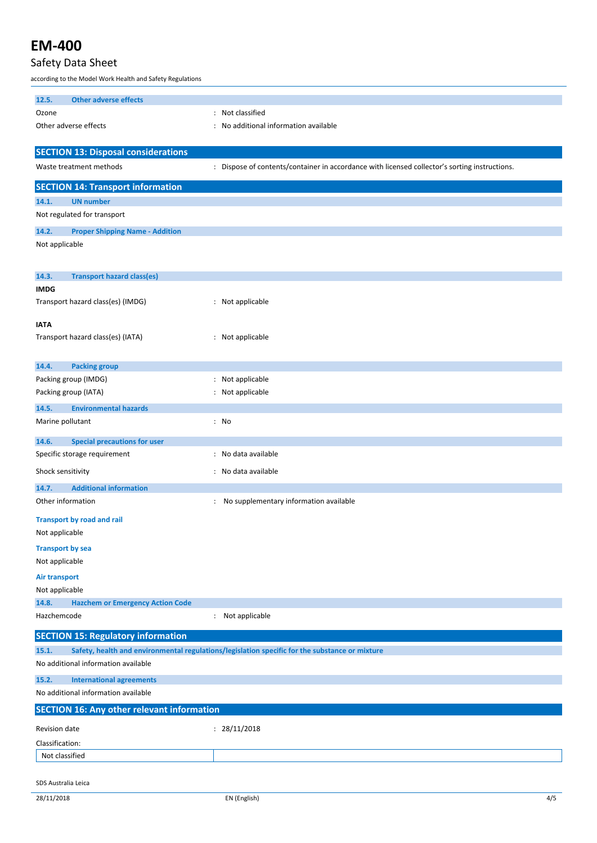### Safety Data Sheet

according to the Model Work Health and Safety Regulations

| <b>Other adverse effects</b><br>12.5.               |                                                                                                |
|-----------------------------------------------------|------------------------------------------------------------------------------------------------|
| Ozone                                               | : Not classified                                                                               |
| Other adverse effects                               | : No additional information available                                                          |
|                                                     |                                                                                                |
| <b>SECTION 13: Disposal considerations</b>          |                                                                                                |
| Waste treatment methods                             | : Dispose of contents/container in accordance with licensed collector's sorting instructions.  |
| <b>SECTION 14: Transport information</b>            |                                                                                                |
| 14.1.<br><b>UN number</b>                           |                                                                                                |
| Not regulated for transport                         |                                                                                                |
| 14.2.<br><b>Proper Shipping Name - Addition</b>     |                                                                                                |
| Not applicable                                      |                                                                                                |
|                                                     |                                                                                                |
| <b>Transport hazard class(es)</b><br>14.3.          |                                                                                                |
| <b>IMDG</b>                                         |                                                                                                |
| Transport hazard class(es) (IMDG)                   | : Not applicable                                                                               |
| <b>IATA</b>                                         |                                                                                                |
| Transport hazard class(es) (IATA)                   | : Not applicable                                                                               |
|                                                     |                                                                                                |
| 14.4.<br><b>Packing group</b>                       |                                                                                                |
| Packing group (IMDG)                                | : Not applicable                                                                               |
| Packing group (IATA)                                | : Not applicable                                                                               |
| 14.5.<br><b>Environmental hazards</b>               |                                                                                                |
| Marine pollutant                                    | : No                                                                                           |
| <b>Special precautions for user</b><br>14.6.        |                                                                                                |
| Specific storage requirement                        | : No data available                                                                            |
| Shock sensitivity                                   | : No data available                                                                            |
| <b>Additional information</b><br>14.7.              |                                                                                                |
| Other information                                   | : No supplementary information available                                                       |
|                                                     |                                                                                                |
| <b>Transport by road and rail</b><br>Not applicable |                                                                                                |
| <b>Transport by sea</b>                             |                                                                                                |
| Not applicable                                      |                                                                                                |
| <b>Air transport</b>                                |                                                                                                |
| Not applicable                                      |                                                                                                |
| 14.8.<br><b>Hazchem or Emergency Action Code</b>    |                                                                                                |
| Hazchemcode                                         | Not applicable<br>÷                                                                            |
| <b>SECTION 15: Regulatory information</b>           |                                                                                                |
| 15.1.                                               | Safety, health and environmental regulations/legislation specific for the substance or mixture |
| No additional information available                 |                                                                                                |
| 15.2.<br><b>International agreements</b>            |                                                                                                |
| No additional information available                 |                                                                                                |
| <b>SECTION 16: Any other relevant information</b>   |                                                                                                |
| Revision date                                       | : 28/11/2018                                                                                   |
| Classification:                                     |                                                                                                |
| Not classified                                      |                                                                                                |
|                                                     |                                                                                                |
| SDS Australia Leica                                 |                                                                                                |